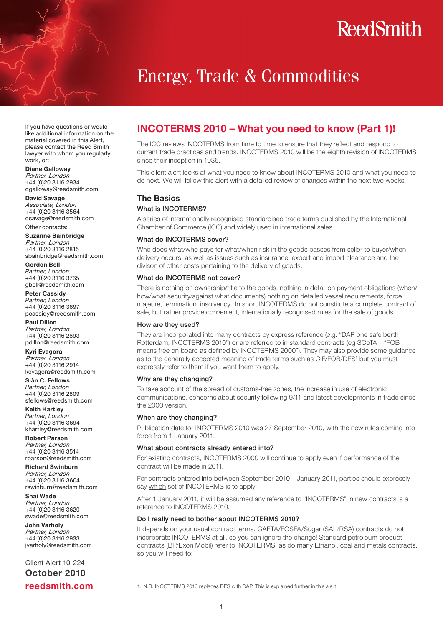### Energy, Trade & Commodities

If you have questions or would like additional information on the material covered in this Alert, please contact the Reed Smith lawyer with whom you regularly work, or:

Diane Galloway Partner, London +44 (0)20 3116 2934 dgalloway@reedsmith.com

David Savage Associate, London +44 (0)20 3116 3564 dsavage@reedsmith.com

Other contacts: Suzanne Bainbridge

Partner, London +44 (0)20 3116 2815 sbainbridge@reedsmith.com

Gordon Bell *Partner, London +*44 (0)20 3116 3765 gbell@reedsmith.com

Peter Cassidy *Partner, London +*44 (0)20 3116 3697 pcassidy@reedsmith.com

Paul Dillon Partner, London +44 (0)20 3116 2893 pdillon@reedsmith.com

Kyri Evagora Partner, London +44 (0)20 3116 2914 kevagora@reedsmith.com

Siân C. Fellows *Partner, London* +44 (0)20 3116 2809 sfellows@reedsmith.com

Keith Hartley *Partner, London* +44 (0)20 3116 3694 khartley@reedsmith.com

Robert Parson Partner, London +44 (0)20 3116 3514 rparson@reedsmith.com

Richard Swinburn Partner, London +44 (0)20 3116 3604 rswinburn@reedsmith.com

Shai Wade Partner, London +44 (0)20 3116 3620 swade@reedsmith.com

John Varholy Partner, London +44 (0)20 3116 2933 jvarholy@reedsmith.com

Client Alert 10-224 October 2010 reedsmith.com

### INCOTERMS 2010 – What you need to know (Part 1)!

The ICC reviews INCOTERMS from time to time to ensure that they reflect and respond to current trade practices and trends. INCOTERMS 2010 will be the eighth revision of INCOTERMS since their inception in 1936.

This client alert looks at what you need to know about INCOTERMS 2010 and what you need to do next. We will follow this alert with a detailed review of changes within the next two weeks.

### The Basics

#### What is INCOTERMS?

A series of internationally recognised standardised trade terms published by the International Chamber of Commerce (ICC) and widely used in international sales.

#### What do **INCOTERMS** cover?

Who does what/who pays for what/when risk in the goods passes from seller to buyer/when delivery occurs, as well as issues such as insurance, export and import clearance and the divison of other costs pertaining to the delivery of goods.

#### What do INCOTERMS not cover?

There is nothing on ownership/title to the goods, nothing in detail on payment obligations (when/ how/what security/against what documents) nothing on detailed vessel requirements, force majeure, termination, insolvency...In short INCOTERMS do not constitute a complete contract of sale, but rather provide convenient, internationally recognised rules for the sale of goods.

#### How are they used?

They are incorporated into many contracts by express reference (e.g. "DAP one safe berth Rotterdam, INCOTERMS 2010") or are referred to in standard contracts (eg SCoTA – "FOB means free on board as defined by INCOTERMS 2000"). They may also provide some guidance as to the generally accepted meaning of trade terms such as CIF/FOB/DES<sup>1</sup> but you must expressly refer to them if you want them to apply.

#### Why are they changing?

To take account of the spread of customs-free zones, the increase in use of electronic communications, concerns about security following 9/11 and latest developments in trade since the 2000 version.

#### When are they changing?

Publication date for INCOTERMS 2010 was 27 September 2010, with the new rules coming into force from 1 January 2011.

#### What about contracts already entered into?

For existing contracts, INCOTERMS 2000 will continue to apply even if performance of the contract will be made in 2011.

For contracts entered into between September 2010 – January 2011, parties should expressly say which set of INCOTERMS is to apply.

After 1 January 2011, it will be assumed any reference to "INCOTERMS" in new contracts is a reference to INCOTERMS 2010.

#### Do I really need to bother about INCOTERMS 2010?

It depends on your usual contract terms. GAFTA/FOSFA/Sugar (SAL/RSA) contracts do not incorporate INCOTERMS at all, so you can ignore the change! Standard petroleum product contracts (BP/Exon Mobil) refer to INCOTERMS, as do many Ethanol, coal and metals contracts, so you will need to:

1. N.B. INCOTERMS 2010 replaces DES with DAP. This is explained further in this alert.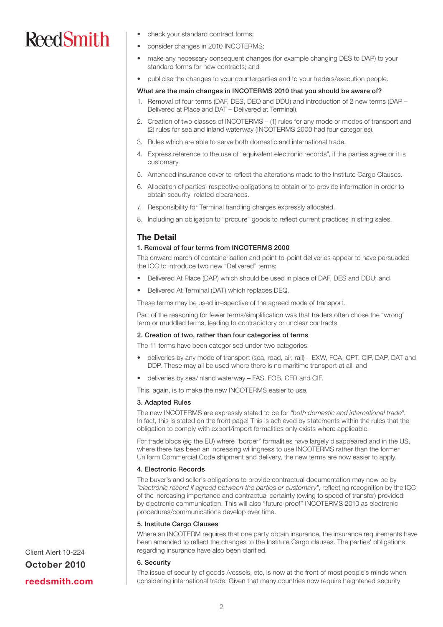- check your standard contract forms;
- consider changes in 2010 INCOTERMS:
- make any necessary consequent changes (for example changing DES to DAP) to your standard forms for new contracts; and
- publicise the changes to your counterparties and to your traders/execution people.

#### What are the main changes in INCOTERMS 2010 that you should be aware of?

- 1. Removal of four terms (DAF, DES, DEQ and DDU) and introduction of 2 new terms (DAP Delivered at Place and DAT – Delivered at Terminal).
- 2. Creation of two classes of INCOTERMS (1) rules for any mode or modes of transport and (2) rules for sea and inland waterway (INCOTERMS 2000 had four categories).
- 3. Rules which are able to serve both domestic and international trade.
- 4. Express reference to the use of "equivalent electronic records", if the parties agree or it is customary.
- 5. Amended insurance cover to reflect the alterations made to the Institute Cargo Clauses.
- 6. Allocation of parties' respective obligations to obtain or to provide information in order to obtain security–related clearances.
- 7. Responsibility for Terminal handling charges expressly allocated.
- 8. Including an obligation to "procure" goods to reflect current practices in string sales.

#### The Detail

#### 1. Removal of four terms from INCOTERMS 2000

The onward march of containerisation and point-to-point deliveries appear to have persuaded the ICC to introduce two new "Delivered" terms:

- Delivered At Place (DAP) which should be used in place of DAF, DES and DDU; and
- Delivered At Terminal (DAT) which replaces DEQ.

These terms may be used irrespective of the agreed mode of transport.

Part of the reasoning for fewer terms/simplification was that traders often chose the "wrong" term or muddled terms, leading to contradictory or unclear contracts.

#### 2. Creation of two, rather than four categories of terms

The 11 terms have been categorised under two categories:

- deliveries by any mode of transport (sea, road, air, rail) EXW, FCA, CPT, CIP, DAP, DAT and DDP. These may all be used where there is no maritime transport at all; and
- deliveries by sea/inland waterway FAS, FOB, CFR and CIF.
- This, again, is to make the new INCOTERMS easier to use.

#### 3. Adapted Rules

The new INCOTERMS are expressly stated to be for *"both domestic and international trade"*. In fact, this is stated on the front page! This is achieved by statements within the rules that the obligation to comply with export/import formalities only exists where applicable.

For trade blocs (eg the EU) where "border" formalities have largely disappeared and in the US, where there has been an increasing willingness to use INCOTERMS rather than the former Uniform Commercial Code shipment and delivery, the new terms are now easier to apply.

#### 4. Electronic Records

The buyer's and seller's obligations to provide contractual documentation may now be by *"electronic record if agreed between the parties or customary"*, reflecting recognition by the ICC of the increasing importance and contractual certainty (owing to speed of transfer) provided by electronic communication. This will also "future-proof" INCOTERMS 2010 as electronic procedures/communications develop over time.

#### 5. Institute Cargo Clauses

Where an INCOTERM requires that one party obtain insurance, the insurance requirements have been amended to reflect the changes to the Institute Cargo clauses. The parties' obligations regarding insurance have also been clarified.

#### 6. Security

The issue of security of goods /vessels, etc, is now at the front of most people's minds when considering international trade. Given that many countries now require heightened security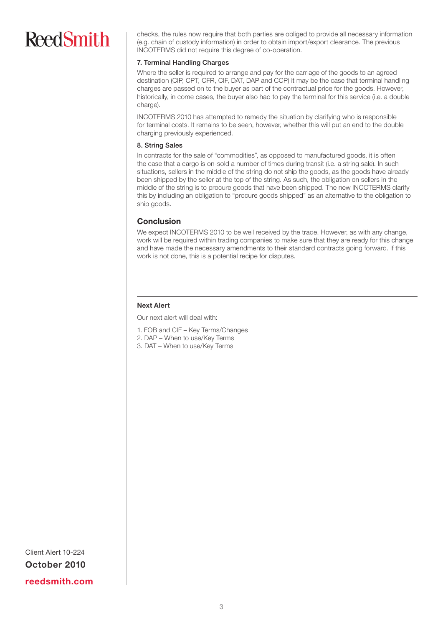checks, the rules now require that both parties are obliged to provide all necessary information (e.g. chain of custody information) in order to obtain import/export clearance. The previous INCOTERMS did not require this degree of co-operation.

#### 7. Terminal Handling Charges

Where the seller is required to arrange and pay for the carriage of the goods to an agreed destination (CIP, CPT, CFR, CIF, DAT, DAP and CCP) it may be the case that terminal handling charges are passed on to the buyer as part of the contractual price for the goods. However, historically, in come cases, the buyer also had to pay the terminal for this service (i.e. a double charge).

INCOTERMS 2010 has attempted to remedy the situation by clarifying who is responsible for terminal costs. It remains to be seen, however, whether this will put an end to the double charging previously experienced.

#### 8. String Sales

In contracts for the sale of "commodities", as opposed to manufactured goods, it is often the case that a cargo is on-sold a number of times during transit (i.e. a string sale). In such situations, sellers in the middle of the string do not ship the goods, as the goods have already been shipped by the seller at the top of the string. As such, the obligation on sellers in the middle of the string is to procure goods that have been shipped. The new INCOTERMS clarify this by including an obligation to "procure goods shipped" as an alternative to the obligation to ship goods.

### Conclusion

We expect INCOTERMS 2010 to be well received by the trade. However, as with any change, work will be required within trading companies to make sure that they are ready for this change and have made the necessary amendments to their standard contracts going forward. If this work is not done, this is a potential recipe for disputes.

#### Next Alert

Our next alert will deal with:

- 1. FOB and CIF Key Terms/Changes
- 2. DAP When to use/Key Terms
- 3. DAT When to use/Key Terms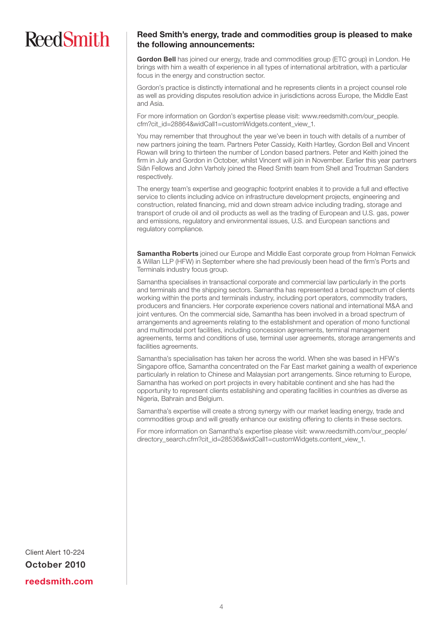### Reed Smith's energy, trade and commodities group is pleased to make the following announcements:

Gordon Bell has joined our energy, trade and commodities group (ETC group) in London. He brings with him a wealth of experience in all types of international arbitration, with a particular focus in the energy and construction sector.

Gordon's practice is distinctly international and he represents clients in a project counsel role as well as providing disputes resolution advice in jurisdictions across Europe, the Middle East and Asia.

For more information on Gordon's expertise please visit: www.reedsmith.com/our\_people. cfm?cit\_id=28864&widCall1=customWidgets.content\_view\_1.

You may remember that throughout the year we've been in touch with details of a number of new partners joining the team. Partners Peter Cassidy, Keith Hartley, Gordon Bell and Vincent Rowan will bring to thirteen the number of London based partners. Peter and Keith joined the firm in July and Gordon in October, whilst Vincent will join in November. Earlier this year partners Siân Fellows and John Varholy joined the Reed Smith team from Shell and Troutman Sanders respectively.

The energy team's expertise and geographic footprint enables it to provide a full and effective service to clients including advice on infrastructure development projects, engineering and construction, related financing, mid and down stream advice including trading, storage and transport of crude oil and oil products as well as the trading of European and U.S. gas, power and emissions, regulatory and environmental issues, U.S. and European sanctions and regulatory compliance.

**Samantha Roberts** joined our Europe and Middle East corporate group from Holman Fenwick & Willan LLP (HFW) in September where she had previously been head of the firm's Ports and Terminals industry focus group.

Samantha specialises in transactional corporate and commercial law particularly in the ports and terminals and the shipping sectors. Samantha has represented a broad spectrum of clients working within the ports and terminals industry, including port operators, commodity traders, producers and financiers. Her corporate experience covers national and international M&A and joint ventures. On the commercial side, Samantha has been involved in a broad spectrum of arrangements and agreements relating to the establishment and operation of mono functional and multimodal port facilities, including concession agreements, terminal management agreements, terms and conditions of use, terminal user agreements, storage arrangements and facilities agreements.

Samantha's specialisation has taken her across the world. When she was based in HFW's Singapore office, Samantha concentrated on the Far East market gaining a wealth of experience particularly in relation to Chinese and Malaysian port arrangements. Since returning to Europe, Samantha has worked on port projects in every habitable continent and she has had the opportunity to represent clients establishing and operating facilities in countries as diverse as Nigeria, Bahrain and Belgium.

Samantha's expertise will create a strong synergy with our market leading energy, trade and commodities group and will greatly enhance our existing offering to clients in these sectors.

For more information on Samantha's expertise please visit: www.reedsmith.com/our\_people/ directory\_search.cfm?cit\_id=28536&widCall1=customWidgets.content\_view\_1.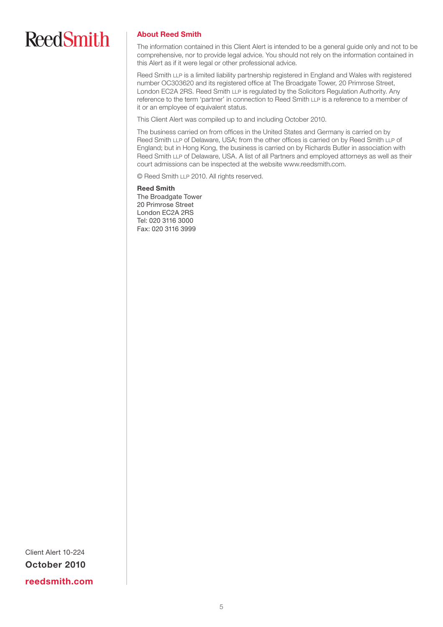#### About Reed Smith

The information contained in this Client Alert is intended to be a general guide only and not to be comprehensive, nor to provide legal advice. You should not rely on the information contained in this Alert as if it were legal or other professional advice.

Reed Smith LLP is a limited liability partnership registered in England and Wales with registered number OC303620 and its registered office at The Broadgate Tower, 20 Primrose Street, London EC2A 2RS. Reed Smith LLP is regulated by the Solicitors Regulation Authority. Any reference to the term 'partner' in connection to Reed Smith LLP is a reference to a member of it or an employee of equivalent status.

This Client Alert was compiled up to and including October 2010.

The business carried on from offices in the United States and Germany is carried on by Reed Smith LLP of Delaware, USA; from the other offices is carried on by Reed Smith LLP of England; but in Hong Kong, the business is carried on by Richards Butler in association with Reed Smith LLP of Delaware, USA. A list of all Partners and employed attorneys as well as their court admissions can be inspected at the website www.reedsmith.com.

© Reed Smith LLP 2010. All rights reserved.

Reed Smith The Broadgate Tower 20 Primrose Street London EC2A 2RS Tel: 020 3116 3000 Fax: 020 3116 3999